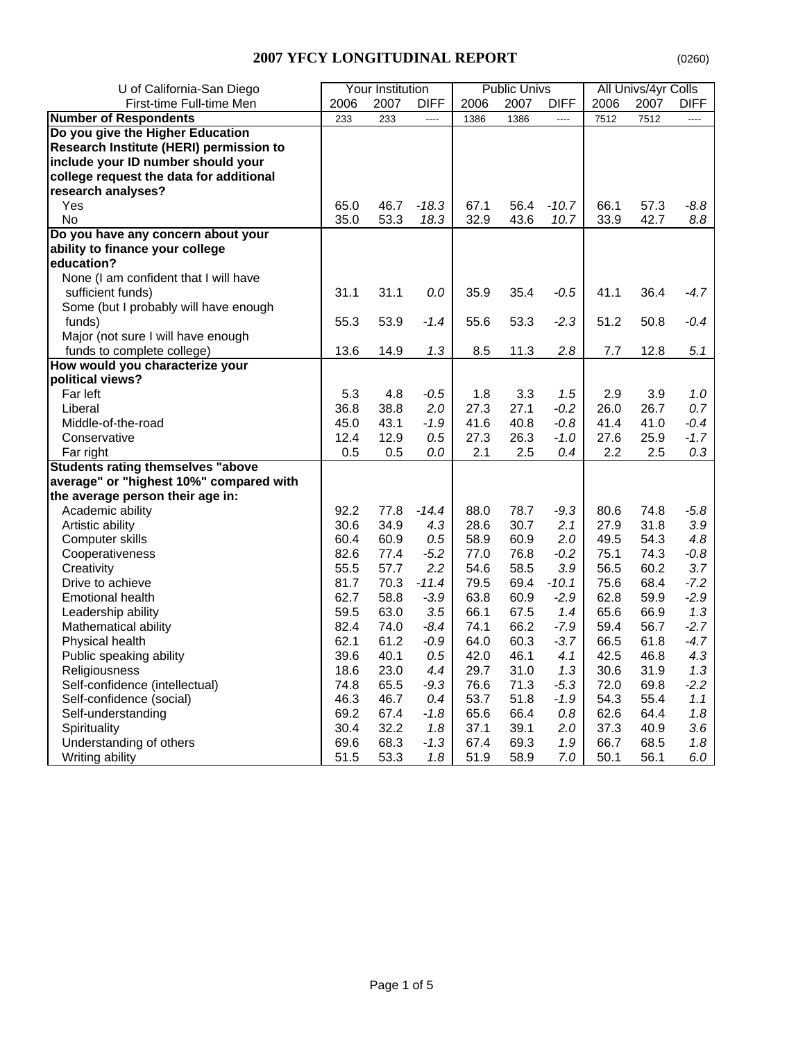| U of California-San Diego                | <b>Your Institution</b> |      | <b>Public Univs</b> |      |      | All Univs/4yr Colls |      |      |             |
|------------------------------------------|-------------------------|------|---------------------|------|------|---------------------|------|------|-------------|
| First-time Full-time Men                 | 2006                    | 2007 | <b>DIFF</b>         | 2006 | 2007 | <b>DIFF</b>         | 2006 | 2007 | <b>DIFF</b> |
| <b>Number of Respondents</b>             | 233                     | 233  | ----                | 1386 | 1386 | $\overline{a}$      | 7512 | 7512 | $---$       |
| Do you give the Higher Education         |                         |      |                     |      |      |                     |      |      |             |
| Research Institute (HERI) permission to  |                         |      |                     |      |      |                     |      |      |             |
| include your ID number should your       |                         |      |                     |      |      |                     |      |      |             |
| college request the data for additional  |                         |      |                     |      |      |                     |      |      |             |
| research analyses?                       |                         |      |                     |      |      |                     |      |      |             |
| Yes                                      | 65.0                    | 46.7 | $-18.3$             | 67.1 | 56.4 | $-10.7$             | 66.1 | 57.3 | $-8.8$      |
| No                                       | 35.0                    | 53.3 | 18.3                | 32.9 | 43.6 | 10.7                | 33.9 | 42.7 | 8.8         |
| Do you have any concern about your       |                         |      |                     |      |      |                     |      |      |             |
| ability to finance your college          |                         |      |                     |      |      |                     |      |      |             |
| education?                               |                         |      |                     |      |      |                     |      |      |             |
| None (I am confident that I will have    |                         |      |                     |      |      |                     |      |      |             |
| sufficient funds)                        | 31.1                    | 31.1 | 0.0                 | 35.9 | 35.4 | $-0.5$              | 41.1 | 36.4 | $-4.7$      |
| Some (but I probably will have enough    |                         |      |                     |      |      |                     |      |      |             |
| funds)                                   | 55.3                    | 53.9 | $-1.4$              | 55.6 | 53.3 | $-2.3$              | 51.2 | 50.8 | $-0.4$      |
| Major (not sure I will have enough       |                         |      |                     |      |      |                     |      |      |             |
| funds to complete college)               | 13.6                    | 14.9 | 1.3                 | 8.5  | 11.3 | 2.8                 | 7.7  | 12.8 | 5.1         |
| How would you characterize your          |                         |      |                     |      |      |                     |      |      |             |
| political views?                         |                         |      |                     |      |      |                     |      |      |             |
| Far left                                 | 5.3                     | 4.8  | $-0.5$              | 1.8  | 3.3  | 1.5                 | 2.9  | 3.9  | 1.0         |
| Liberal                                  | 36.8                    | 38.8 | 2.0                 | 27.3 | 27.1 | $-0.2$              | 26.0 | 26.7 | 0.7         |
| Middle-of-the-road                       | 45.0                    | 43.1 | $-1.9$              | 41.6 | 40.8 | $-0.8$              | 41.4 | 41.0 | $-0.4$      |
| Conservative                             | 12.4                    | 12.9 | 0.5                 | 27.3 | 26.3 | $-1.0$              | 27.6 | 25.9 | $-1.7$      |
| Far right                                | 0.5                     | 0.5  | 0.0                 | 2.1  | 2.5  | 0.4                 | 2.2  | 2.5  | 0.3         |
| <b>Students rating themselves "above</b> |                         |      |                     |      |      |                     |      |      |             |
| average" or "highest 10%" compared with  |                         |      |                     |      |      |                     |      |      |             |
| the average person their age in:         |                         |      |                     |      |      |                     |      |      |             |
| Academic ability                         | 92.2                    | 77.8 | $-14.4$             | 88.0 | 78.7 | $-9.3$              | 80.6 | 74.8 | $-5.8$      |
| Artistic ability                         | 30.6                    | 34.9 | 4.3                 | 28.6 | 30.7 | 2.1                 | 27.9 | 31.8 | 3.9         |
| Computer skills                          | 60.4                    | 60.9 | 0.5                 | 58.9 | 60.9 | 2.0                 | 49.5 | 54.3 | 4.8         |
| Cooperativeness                          | 82.6                    | 77.4 | $-5.2$              | 77.0 | 76.8 | $-0.2$              | 75.1 | 74.3 | -0.8        |
| Creativity                               | 55.5                    | 57.7 | 2.2                 | 54.6 | 58.5 | 3.9                 | 56.5 | 60.2 | 3.7         |
| Drive to achieve                         | 81.7                    | 70.3 | $-11.4$             | 79.5 | 69.4 | $-10.1$             | 75.6 | 68.4 | $-7.2$      |
| <b>Emotional health</b>                  | 62.7                    | 58.8 | $-3.9$              | 63.8 | 60.9 | $-2.9$              | 62.8 | 59.9 | $-2.9$      |
| Leadership ability                       | 59.5                    | 63.0 | 3.5                 | 66.1 | 67.5 | 1.4                 | 65.6 | 66.9 | 1.3         |
| Mathematical ability                     | 82.4                    | 74.0 | $-8.4$              | 74.1 | 66.2 | $-7.9$              | 59.4 | 56.7 | $-2.7$      |
| Physical health                          | 62.1                    | 61.2 | $-0.9$              | 64.0 | 60.3 | $-3.7$              | 66.5 | 61.8 | $-4.7$      |
| Public speaking ability                  | 39.6                    | 40.1 | 0.5                 | 42.0 | 46.1 | 4.1                 | 42.5 | 46.8 | 4.3         |
| Religiousness                            | 18.6                    | 23.0 | 4.4                 | 29.7 | 31.0 | 1.3                 | 30.6 | 31.9 | 1.3         |
| Self-confidence (intellectual)           | 74.8                    | 65.5 | $-9.3$              | 76.6 | 71.3 | $-5.3$              | 72.0 | 69.8 | $-2.2$      |
| Self-confidence (social)                 | 46.3                    | 46.7 | 0.4                 | 53.7 | 51.8 | $-1.9$              | 54.3 | 55.4 | 1.1         |
| Self-understanding                       | 69.2                    | 67.4 | -1.8                | 65.6 | 66.4 | 0.8                 | 62.6 | 64.4 | 1.8         |
| Spirituality                             | 30.4                    | 32.2 | 1.8                 | 37.1 | 39.1 | 2.0                 | 37.3 | 40.9 | 3.6         |
| Understanding of others                  | 69.6                    | 68.3 | $-1.3$              | 67.4 | 69.3 | 1.9                 | 66.7 | 68.5 | 1.8         |
| Writing ability                          | 51.5                    | 53.3 | 1.8                 | 51.9 | 58.9 | 7.0                 | 50.1 | 56.1 | 6.0         |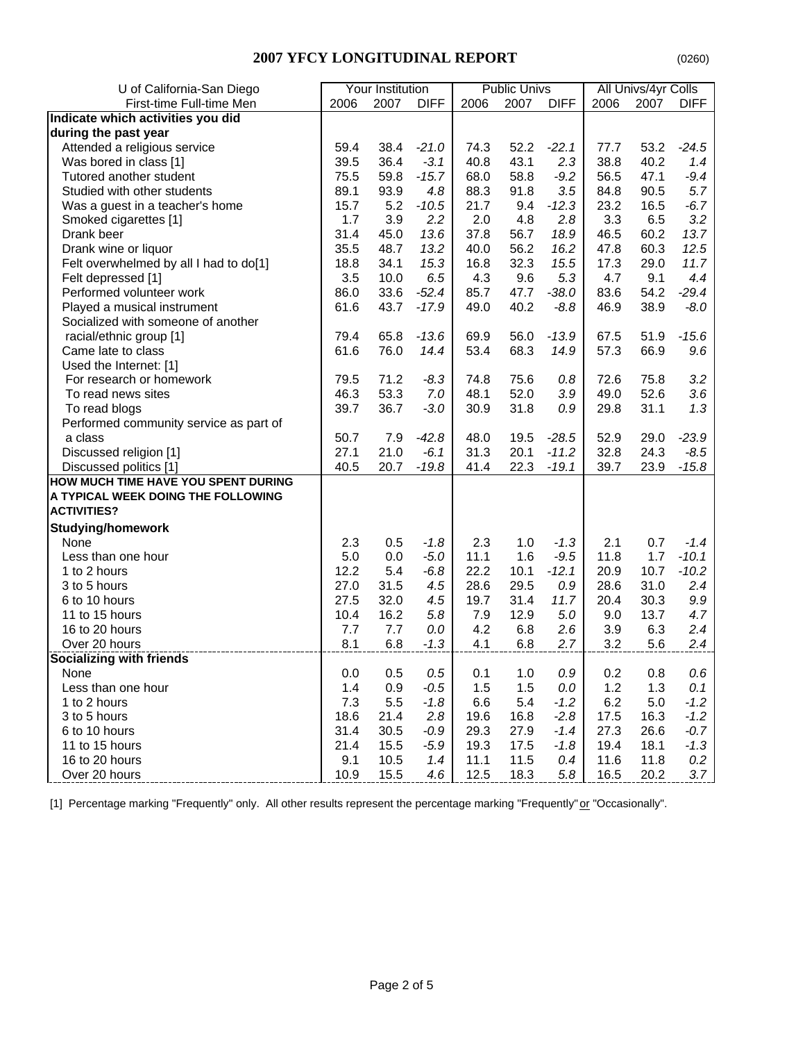| U of California-San Diego              | Your Institution |      |             | <b>Public Univs</b> |      | All Univs/4yr Colls |      |      |             |
|----------------------------------------|------------------|------|-------------|---------------------|------|---------------------|------|------|-------------|
| First-time Full-time Men               | 2006             | 2007 | <b>DIFF</b> | 2006                | 2007 | <b>DIFF</b>         | 2006 | 2007 | <b>DIFF</b> |
| Indicate which activities you did      |                  |      |             |                     |      |                     |      |      |             |
| during the past year                   |                  |      |             |                     |      |                     |      |      |             |
| Attended a religious service           | 59.4             | 38.4 | $-21.0$     | 74.3                | 52.2 | $-22.1$             | 77.7 | 53.2 | $-24.5$     |
| Was bored in class [1]                 | 39.5             | 36.4 | $-3.1$      | 40.8                | 43.1 | 2.3                 | 38.8 | 40.2 | 1.4         |
| Tutored another student                | 75.5             | 59.8 | $-15.7$     | 68.0                | 58.8 | $-9.2$              | 56.5 | 47.1 | $-9.4$      |
| Studied with other students            | 89.1             | 93.9 | 4.8         | 88.3                | 91.8 | 3.5                 | 84.8 | 90.5 | 5.7         |
| Was a guest in a teacher's home        | 15.7             | 5.2  | $-10.5$     | 21.7                | 9.4  | $-12.3$             | 23.2 | 16.5 | $-6.7$      |
| Smoked cigarettes [1]                  | 1.7              | 3.9  | 2.2         | 2.0                 | 4.8  | 2.8                 | 3.3  | 6.5  | 3.2         |
| Drank beer                             | 31.4             | 45.0 | 13.6        | 37.8                | 56.7 | 18.9                | 46.5 | 60.2 | 13.7        |
| Drank wine or liquor                   | 35.5             | 48.7 | 13.2        | 40.0                | 56.2 | 16.2                | 47.8 | 60.3 | 12.5        |
| Felt overwhelmed by all I had to do[1] | 18.8             | 34.1 | 15.3        | 16.8                | 32.3 | 15.5                | 17.3 | 29.0 | 11.7        |
| Felt depressed [1]                     | 3.5              | 10.0 | 6.5         | 4.3                 | 9.6  | 5.3                 | 4.7  | 9.1  | 4.4         |
| Performed volunteer work               | 86.0             | 33.6 | $-52.4$     | 85.7                | 47.7 | $-38.0$             | 83.6 | 54.2 | $-29.4$     |
| Played a musical instrument            | 61.6             | 43.7 | $-17.9$     | 49.0                | 40.2 | $-8.8$              | 46.9 | 38.9 | $-8.0$      |
| Socialized with someone of another     |                  |      |             |                     |      |                     |      |      |             |
| racial/ethnic group [1]                | 79.4             | 65.8 | $-13.6$     | 69.9                | 56.0 | $-13.9$             | 67.5 | 51.9 | $-15.6$     |
| Came late to class                     | 61.6             | 76.0 | 14.4        | 53.4                | 68.3 | 14.9                | 57.3 | 66.9 | 9.6         |
| Used the Internet: [1]                 |                  |      |             |                     |      |                     |      |      |             |
| For research or homework               | 79.5             | 71.2 | $-8.3$      | 74.8                | 75.6 | 0.8                 | 72.6 | 75.8 | 3.2         |
| To read news sites                     | 46.3             | 53.3 | 7.0         | 48.1                | 52.0 | 3.9                 | 49.0 | 52.6 | 3.6         |
| To read blogs                          | 39.7             | 36.7 | $-3.0$      | 30.9                | 31.8 | 0.9                 | 29.8 | 31.1 | 1.3         |
| Performed community service as part of |                  |      |             |                     |      |                     |      |      |             |
| a class                                | 50.7             | 7.9  | $-42.8$     | 48.0                | 19.5 | $-28.5$             | 52.9 | 29.0 | $-23.9$     |
| Discussed religion [1]                 | 27.1             | 21.0 | $-6.1$      | 31.3                | 20.1 | $-11.2$             | 32.8 | 24.3 | $-8.5$      |
| Discussed politics [1]                 | 40.5             | 20.7 | $-19.8$     | 41.4                | 22.3 | $-19.1$             | 39.7 | 23.9 | $-15.8$     |
| HOW MUCH TIME HAVE YOU SPENT DURING    |                  |      |             |                     |      |                     |      |      |             |
| A TYPICAL WEEK DOING THE FOLLOWING     |                  |      |             |                     |      |                     |      |      |             |
| <b>ACTIVITIES?</b>                     |                  |      |             |                     |      |                     |      |      |             |
| <b>Studying/homework</b>               |                  |      |             |                     |      |                     |      |      |             |
| None                                   | 2.3              | 0.5  | $-1.8$      | 2.3                 | 1.0  | $-1.3$              | 2.1  | 0.7  | $-1.4$      |
| Less than one hour                     | 5.0              | 0.0  | $-5.0$      | 11.1                | 1.6  | $-9.5$              | 11.8 | 1.7  | $-10.1$     |
| 1 to 2 hours                           | 12.2             | 5.4  | $-6.8$      | 22.2                | 10.1 | $-12.1$             | 20.9 | 10.7 | $-10.2$     |
| 3 to 5 hours                           | 27.0             | 31.5 | 4.5         | 28.6                | 29.5 | 0.9                 | 28.6 | 31.0 | 2.4         |
| 6 to 10 hours                          | 27.5             | 32.0 | 4.5         | 19.7                | 31.4 | 11.7                | 20.4 | 30.3 | 9.9         |
| 11 to 15 hours                         | 10.4             | 16.2 | 5.8         | 7.9                 | 12.9 | 5.0                 | 9.0  | 13.7 | 4.7         |
| 16 to 20 hours                         | 7.7              | 7.7  | 0.0         | 4.2                 | 6.8  | 2.6                 | 3.9  | 6.3  | 2.4         |
| Over 20 hours                          | 8.1              | 6.8  | $-1.3$      | 4.1                 | 6.8  | 2.7                 | 3.2  | 5.6  | 2.4         |
| <b>Socializing with friends</b>        |                  |      |             |                     |      |                     |      |      |             |
| None                                   | 0.0              | 0.5  | $0.5\,$     | 0.1                 | 1.0  | 0.9                 | 0.2  | 0.8  | 0.6         |
| Less than one hour                     | 1.4              | 0.9  | $-0.5$      | 1.5                 | 1.5  | 0.0                 | 1.2  | 1.3  | 0.1         |
| 1 to 2 hours                           | 7.3              | 5.5  | $-1.8$      | 6.6                 | 5.4  | $-1.2$              | 6.2  | 5.0  | $-1.2$      |
| 3 to 5 hours                           | 18.6             | 21.4 | 2.8         | 19.6                | 16.8 | $-2.8$              | 17.5 | 16.3 | $-1.2$      |
| 6 to 10 hours                          | 31.4             | 30.5 | $-0.9$      | 29.3                | 27.9 | $-1.4$              | 27.3 | 26.6 | $-0.7$      |
| 11 to 15 hours                         | 21.4             | 15.5 | $-5.9$      | 19.3                | 17.5 | $-1.8$              | 19.4 | 18.1 | $-1.3$      |
| 16 to 20 hours                         | 9.1              | 10.5 | 1.4         | 11.1                | 11.5 | 0.4                 | 11.6 | 11.8 | 0.2         |
| Over 20 hours                          | 10.9             | 15.5 | 4.6         | 12.5                | 18.3 | 5.8                 | 16.5 | 20.2 | 3.7         |
|                                        |                  |      |             |                     |      |                     |      |      |             |

[1] Percentage marking "Frequently" only. All other results represent the percentage marking "Frequently" or "Occasionally".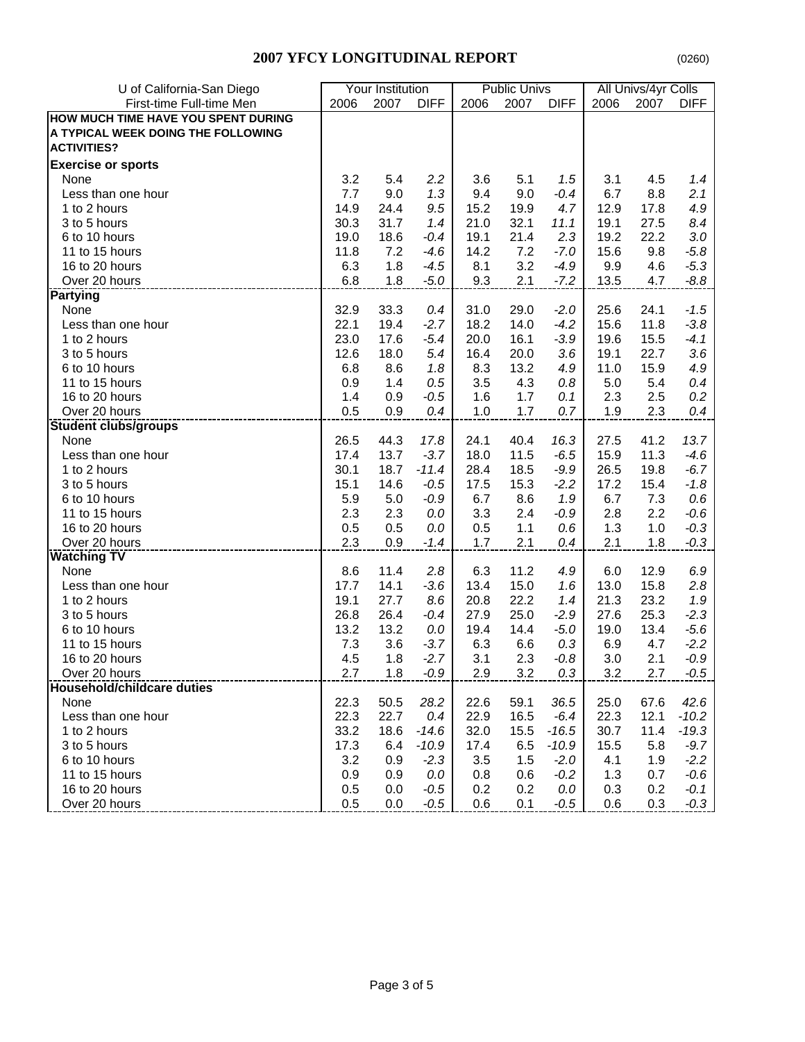| First-time Full-time Men<br>2006<br>2007<br><b>DIFF</b><br>2007<br>2006 | <b>DIFF</b> |      |      | All Univs/4yr Colls |  |  |
|-------------------------------------------------------------------------|-------------|------|------|---------------------|--|--|
|                                                                         |             | 2006 | 2007 | <b>DIFF</b>         |  |  |
| HOW MUCH TIME HAVE YOU SPENT DURING                                     |             |      |      |                     |  |  |
| A TYPICAL WEEK DOING THE FOLLOWING                                      |             |      |      |                     |  |  |
| <b>ACTIVITIES?</b>                                                      |             |      |      |                     |  |  |
| <b>Exercise or sports</b>                                               |             |      |      |                     |  |  |
| 5.4<br>3.2<br>2.2<br>5.1<br>None<br>3.6                                 | 1.5         | 3.1  | 4.5  | 1.4                 |  |  |
| 7.7<br>9.0<br>1.3<br>9.0<br>9.4<br>Less than one hour                   | $-0.4$      | 6.7  | 8.8  | 2.1                 |  |  |
| 1 to 2 hours<br>14.9<br>24.4<br>9.5<br>15.2<br>19.9                     | 4.7         | 12.9 | 17.8 | 4.9                 |  |  |
| 3 to 5 hours<br>30.3<br>31.7<br>21.0<br>32.1<br>1.4                     | 11.1        | 19.1 | 27.5 | 8.4                 |  |  |
| 6 to 10 hours<br>19.0<br>18.6<br>19.1<br>21.4<br>$-0.4$                 | 2.3         | 19.2 | 22.2 | 3.0                 |  |  |
| 11 to 15 hours<br>11.8<br>$-4.6$<br>7.2<br>7.2<br>14.2                  | $-7.0$      | 15.6 | 9.8  | $-5.8$              |  |  |
| 3.2<br>16 to 20 hours<br>6.3<br>1.8<br>$-4.5$<br>8.1                    | $-4.9$      | 9.9  | 4.6  | $-5.3$              |  |  |
| Over 20 hours<br>6.8<br>1.8<br>$-5.0$<br>9.3<br>2.1                     | $-7.2$      | 13.5 | 4.7  | $-8.8$              |  |  |
| <b>Partying</b>                                                         |             |      |      |                     |  |  |
| None<br>32.9<br>33.3<br>31.0<br>29.0<br>0.4                             | $-2.0$      | 25.6 | 24.1 | $-1.5$              |  |  |
| 22.1<br>Less than one hour<br>19.4<br>$-2.7$<br>18.2<br>14.0            | $-4.2$      | 15.6 | 11.8 | $-3.8$              |  |  |
| 1 to 2 hours<br>23.0<br>17.6<br>$-5.4$<br>20.0<br>16.1                  | $-3.9$      | 19.6 | 15.5 | $-4.1$              |  |  |
| 12.6<br>18.0<br>5.4<br>16.4<br>3 to 5 hours<br>20.0                     | 3.6         | 19.1 | 22.7 | 3.6                 |  |  |
| 6 to 10 hours<br>6.8<br>8.6<br>13.2<br>1.8<br>8.3                       | 4.9         | 11.0 | 15.9 | 4.9                 |  |  |
| 11 to 15 hours<br>0.9<br>1.4<br>3.5<br>4.3<br>0.5                       | 0.8         | 5.0  | 5.4  | 0.4                 |  |  |
| 16 to 20 hours<br>1.4<br>$-0.5$<br>1.7<br>0.9<br>1.6                    | 0.1         | 2.3  | 2.5  | 0.2                 |  |  |
| 1.7<br>Over 20 hours<br>0.5<br>0.9<br>0.4<br>1.0                        | 0.7         | 1.9  | 2.3  | 0.4                 |  |  |
| <b>Student clubs/groups</b>                                             |             |      |      |                     |  |  |
| 26.5<br>44.3<br>17.8<br>24.1<br>40.4<br>None                            | 16.3        | 27.5 | 41.2 | 13.7                |  |  |
| 13.7<br>17.4<br>$-3.7$<br>18.0<br>11.5<br>Less than one hour            | $-6.5$      | 15.9 | 11.3 | $-4.6$              |  |  |
| 18.7<br>30.1<br>$-11.4$<br>28.4<br>18.5<br>1 to 2 hours                 | $-9.9$      | 26.5 | 19.8 | $-6.7$              |  |  |
| 3 to 5 hours<br>15.1<br>14.6<br>17.5<br>15.3<br>$-0.5$                  | $-2.2$      | 17.2 | 15.4 | $-1.8$              |  |  |
| 5.9<br>6 to 10 hours<br>5.0<br>$-0.9$<br>6.7<br>8.6                     | 1.9         | 6.7  | 7.3  | 0.6                 |  |  |
| 11 to 15 hours<br>2.3<br>2.3<br>2.4<br>0.0<br>3.3                       | -0.9        | 2.8  | 2.2  | $-0.6$              |  |  |
| 0.5<br>16 to 20 hours<br>0.5<br>0.0<br>0.5<br>1.1                       | 0.6         | 1.3  | 1.0  | $-0.3$              |  |  |
| 2.3<br>Over 20 hours<br>0.9<br>1.7<br>2.1<br>$-1.4$                     | 0.4         | 2.1  | 1.8  | $-0.3$              |  |  |
| <b>Watching TV</b>                                                      |             |      |      |                     |  |  |
| 11.4<br>11.2<br>None<br>8.6<br>2.8<br>6.3                               | 4.9         | 6.0  | 12.9 | 6.9                 |  |  |
| 17.7<br>14.1<br>$-3.6$<br>13.4<br>15.0<br>Less than one hour            | 1.6         | 13.0 | 15.8 | 2.8                 |  |  |
| 19.1<br>27.7<br>8.6<br>20.8<br>22.2<br>1 to 2 hours                     | 1.4         | 21.3 | 23.2 | 1.9                 |  |  |
| 26.8<br>26.4<br>25.0<br>3 to 5 hours<br>$-0.4$<br>27.9                  | $-2.9$      | 27.6 | 25.3 | $-2.3$              |  |  |
| 13.2<br>13.2<br>14.4<br>6 to 10 hours<br>0.0<br>19.4                    | $-5.0$      | 19.0 | 13.4 | $-5.6$              |  |  |
| 11 to 15 hours<br>7.3<br>3.6<br>$-3.7$<br>6.3<br>6.6                    | 0.3         | 6.9  | 4.7  | $-2.2$              |  |  |
| 1.8<br>$-2.7$<br>2.3<br>16 to 20 hours<br>4.5<br>3.1                    | $-0.8$      | 3.0  | 2.1  | $-0.9$              |  |  |
| 2.7<br>1.8<br>$-0.9$<br>3.2<br>Over 20 hours<br>2.9                     | 0.3         | 3.2  | 2.7  | $-0.5$              |  |  |
| Household/childcare duties                                              |             |      |      |                     |  |  |
| 22.3<br>50.5<br>28.2<br>22.6<br>None<br>59.1                            | 36.5        | 25.0 | 67.6 | 42.6                |  |  |
| 22.3<br>22.7<br>0.4<br>22.9<br>16.5<br>Less than one hour               | -6.4        | 22.3 | 12.1 | $-10.2$             |  |  |
| 33.2<br>18.6<br>1 to 2 hours<br>$-14.6$<br>32.0<br>15.5                 | $-16.5$     | 30.7 | 11.4 | $-19.3$             |  |  |
| 17.3<br>6.5<br>3 to 5 hours<br>6.4<br>$-10.9$<br>17.4                   | $-10.9$     | 15.5 | 5.8  | $-9.7$              |  |  |
| 6 to 10 hours<br>3.2<br>$-2.3$<br>1.5<br>0.9<br>3.5                     | $-2.0$      | 4.1  | 1.9  | $-2.2$              |  |  |
| 11 to 15 hours<br>0.9<br>0.9<br>0.0<br>0.6<br>0.8                       | $-0.2$      | 1.3  | 0.7  | $-0.6$              |  |  |
| 16 to 20 hours<br>0.2<br>0.5<br>0.0<br>$-0.5$<br>0.2                    | 0.0         | 0.3  | 0.2  | $-0.1$              |  |  |
| 0.5<br>Over 20 hours<br>0.0<br>$-0.5$<br>0.6<br>0.1                     | $-0.5$      | 0.6  | 0.3  | $-0.3$              |  |  |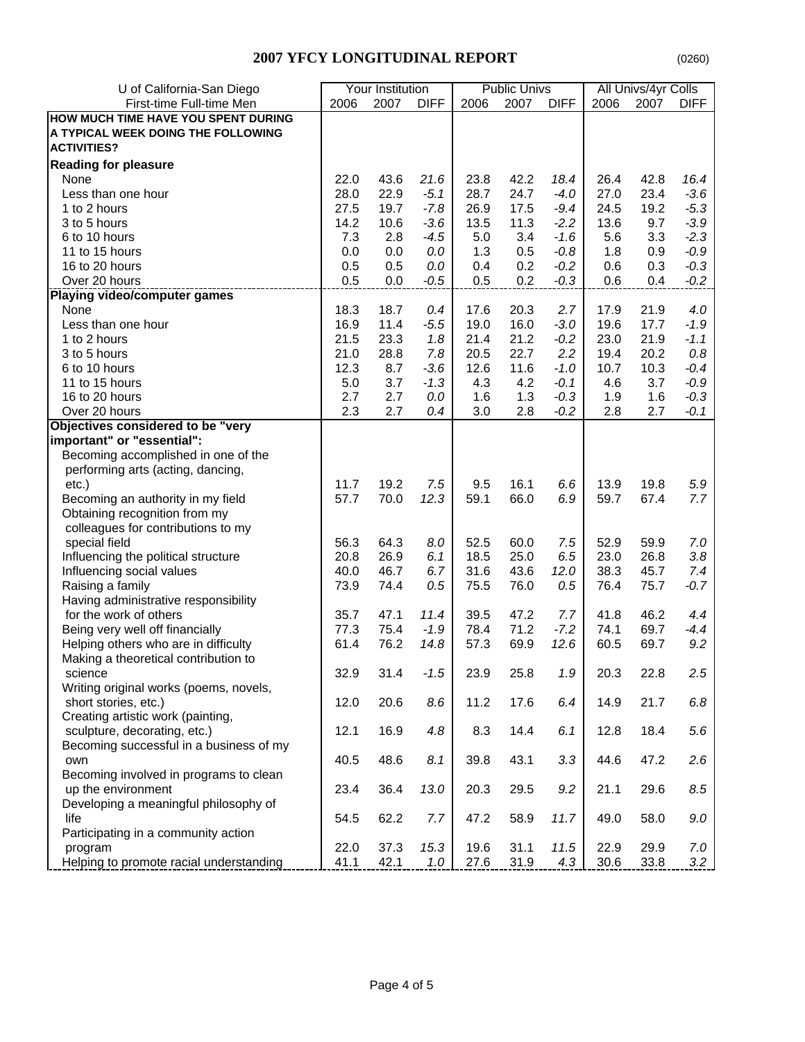| U of California-San Diego               | Your Institution |      |             | <b>Public Univs</b> |      | All Univs/4yr Colls |      |      |             |
|-----------------------------------------|------------------|------|-------------|---------------------|------|---------------------|------|------|-------------|
| First-time Full-time Men                | 2006             | 2007 | <b>DIFF</b> | 2006                | 2007 | <b>DIFF</b>         | 2006 | 2007 | <b>DIFF</b> |
| HOW MUCH TIME HAVE YOU SPENT DURING     |                  |      |             |                     |      |                     |      |      |             |
| A TYPICAL WEEK DOING THE FOLLOWING      |                  |      |             |                     |      |                     |      |      |             |
| <b>ACTIVITIES?</b>                      |                  |      |             |                     |      |                     |      |      |             |
| <b>Reading for pleasure</b>             |                  |      |             |                     |      |                     |      |      |             |
| None                                    | 22.0             | 43.6 | 21.6        | 23.8                | 42.2 | 18.4                | 26.4 | 42.8 | 16.4        |
| Less than one hour                      | 28.0             | 22.9 | $-5.1$      | 28.7                | 24.7 | $-4.0$              | 27.0 | 23.4 | $-3.6$      |
| 1 to 2 hours                            | 27.5             | 19.7 | $-7.8$      | 26.9                | 17.5 | $-9.4$              | 24.5 | 19.2 | $-5.3$      |
| 3 to 5 hours                            | 14.2             | 10.6 | $-3.6$      | 13.5                | 11.3 | $-2.2$              | 13.6 | 9.7  | $-3.9$      |
| 6 to 10 hours                           | 7.3              | 2.8  | $-4.5$      | 5.0                 | 3.4  | $-1.6$              | 5.6  | 3.3  | $-2.3$      |
| 11 to 15 hours                          | 0.0              | 0.0  | 0.0         | 1.3                 | 0.5  | $-0.8$              | 1.8  | 0.9  | $-0.9$      |
|                                         |                  |      |             |                     |      |                     |      |      |             |
| 16 to 20 hours                          | 0.5              | 0.5  | 0.0         | 0.4                 | 0.2  | $-0.2$              | 0.6  | 0.3  | $-0.3$      |
| Over 20 hours                           | 0.5              | 0.0  | $-0.5$      | 0.5                 | 0.2  | $-0.3$              | 0.6  | 0.4  | $-0.2$      |
| Playing video/computer games            |                  |      |             |                     |      |                     |      |      |             |
| None                                    | 18.3             | 18.7 | 0.4         | 17.6                | 20.3 | 2.7                 | 17.9 | 21.9 | 4.0         |
| Less than one hour                      | 16.9             | 11.4 | $-5.5$      | 19.0                | 16.0 | $-3.0$              | 19.6 | 17.7 | $-1.9$      |
| 1 to 2 hours                            | 21.5             | 23.3 | 1.8         | 21.4                | 21.2 | $-0.2$              | 23.0 | 21.9 | $-1.1$      |
| 3 to 5 hours                            | 21.0             | 28.8 | 7.8         | 20.5                | 22.7 | 2.2                 | 19.4 | 20.2 | 0.8         |
| 6 to 10 hours                           | 12.3             | 8.7  | $-3.6$      | 12.6                | 11.6 | $-1.0$              | 10.7 | 10.3 | $-0.4$      |
| 11 to 15 hours                          | 5.0              | 3.7  | $-1.3$      | 4.3                 | 4.2  | $-0.1$              | 4.6  | 3.7  | $-0.9$      |
| 16 to 20 hours                          | 2.7              | 2.7  | 0.0         | 1.6                 | 1.3  | $-0.3$              | 1.9  | 1.6  | $-0.3$      |
| Over 20 hours                           | 2.3              | 2.7  | 0.4         | 3.0                 | 2.8  | $-0.2$              | 2.8  | 2.7  | $-0.1$      |
| Objectives considered to be "very       |                  |      |             |                     |      |                     |      |      |             |
| important" or "essential":              |                  |      |             |                     |      |                     |      |      |             |
| Becoming accomplished in one of the     |                  |      |             |                     |      |                     |      |      |             |
| performing arts (acting, dancing,       |                  |      |             |                     |      |                     |      |      |             |
| $etc.$ )                                | 11.7             | 19.2 | 7.5         | 9.5                 | 16.1 | 6.6                 | 13.9 | 19.8 | 5.9         |
| Becoming an authority in my field       | 57.7             | 70.0 | 12.3        | 59.1                | 66.0 | 6.9                 | 59.7 | 67.4 | 7.7         |
| Obtaining recognition from my           |                  |      |             |                     |      |                     |      |      |             |
| colleagues for contributions to my      |                  |      |             |                     |      |                     |      |      |             |
| special field                           | 56.3             | 64.3 | 8.0         | 52.5                | 60.0 | 7.5                 | 52.9 | 59.9 | 7.0         |
| Influencing the political structure     | 20.8             | 26.9 | 6.1         | 18.5                | 25.0 | 6.5                 | 23.0 | 26.8 | 3.8         |
| Influencing social values               | 40.0             | 46.7 | 6.7         | 31.6                | 43.6 | 12.0                | 38.3 | 45.7 | 7.4         |
| Raising a family                        | 73.9             | 74.4 | 0.5         | 75.5                | 76.0 | 0.5                 | 76.4 | 75.7 | $-0.7$      |
| Having administrative responsibility    |                  |      |             |                     |      |                     |      |      |             |
| for the work of others                  | 35.7             | 47.1 | 11.4        | 39.5                | 47.2 | 7.7                 | 41.8 | 46.2 | 4.4         |
| Being very well off financially         | 77.3             | 75.4 | $-1.9$      | 78.4                | 71.2 | $-7.2$              | 74.1 | 69.7 | $-4.4$      |
| Helping others who are in difficulty    | 61.4             | 76.2 | 14.8        | 57.3                | 69.9 | 12.6                | 60.5 | 69.7 | 9.2         |
| Making a theoretical contribution to    |                  |      |             |                     |      |                     |      |      |             |
| science                                 | 32.9             | 31.4 | $-1.5$      | 23.9                | 25.8 | 1.9                 | 20.3 | 22.8 | 2.5         |
| Writing original works (poems, novels,  |                  |      |             |                     |      |                     |      |      |             |
| short stories, etc.)                    | 12.0             | 20.6 | 8.6         | 11.2                | 17.6 | 6.4                 | 14.9 | 21.7 | 6.8         |
| Creating artistic work (painting,       |                  |      |             |                     |      |                     |      |      |             |
| sculpture, decorating, etc.)            | 12.1             | 16.9 | 4.8         | 8.3                 | 14.4 | 6.1                 | 12.8 | 18.4 | 5.6         |
| Becoming successful in a business of my |                  |      |             |                     |      |                     |      |      |             |
| own                                     | 40.5             | 48.6 | 8.1         | 39.8                | 43.1 | 3.3                 | 44.6 | 47.2 | 2.6         |
|                                         |                  |      |             |                     |      |                     |      |      |             |
| Becoming involved in programs to clean  |                  |      |             |                     |      |                     |      |      |             |
| up the environment                      | 23.4             | 36.4 | 13.0        | 20.3                | 29.5 | 9.2                 | 21.1 | 29.6 | 8.5         |
| Developing a meaningful philosophy of   |                  |      |             |                     |      |                     |      |      |             |
| life                                    | 54.5             | 62.2 | 7.7         | 47.2                | 58.9 | 11.7                | 49.0 | 58.0 | 9.0         |
| Participating in a community action     |                  |      |             |                     |      |                     |      |      |             |
| program                                 | 22.0             | 37.3 | 15.3        | 19.6                | 31.1 | 11.5                | 22.9 | 29.9 | 7.0         |
| Helping to promote racial understanding | 41.1             | 42.1 | 1.0         | 27.6                | 31.9 | 4.3                 | 30.6 | 33.8 | 3.2         |